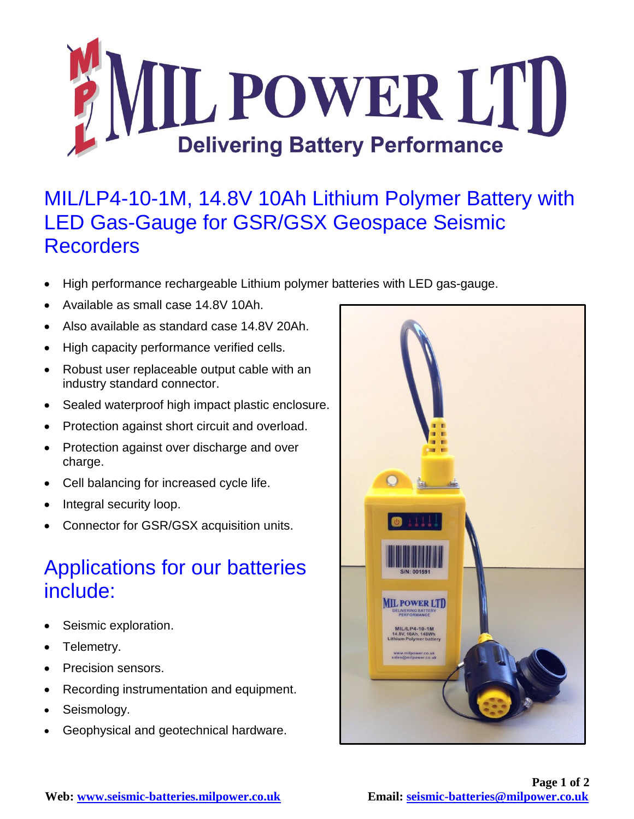

## MIL/LP4-10-1M, 14.8V 10Ah Lithium Polymer Battery with LED Gas-Gauge for GSR/GSX Geospace Seismic **Recorders**

- High performance rechargeable Lithium polymer batteries with LED gas-gauge.
- Available as small case 14.8V 10Ah.
- Also available as standard case 14.8V 20Ah.
- High capacity performance verified cells.
- Robust user replaceable output cable with an industry standard connector.
- Sealed waterproof high impact plastic enclosure.
- Protection against short circuit and overload.
- Protection against over discharge and over charge.
- Cell balancing for increased cycle life.
- Integral security loop.
- Connector for GSR/GSX acquisition units.

## Applications for our batteries include:

- Seismic exploration.
- Telemetry.
- Precision sensors.
- Recording instrumentation and equipment.
- Seismology.
- Geophysical and geotechnical hardware.